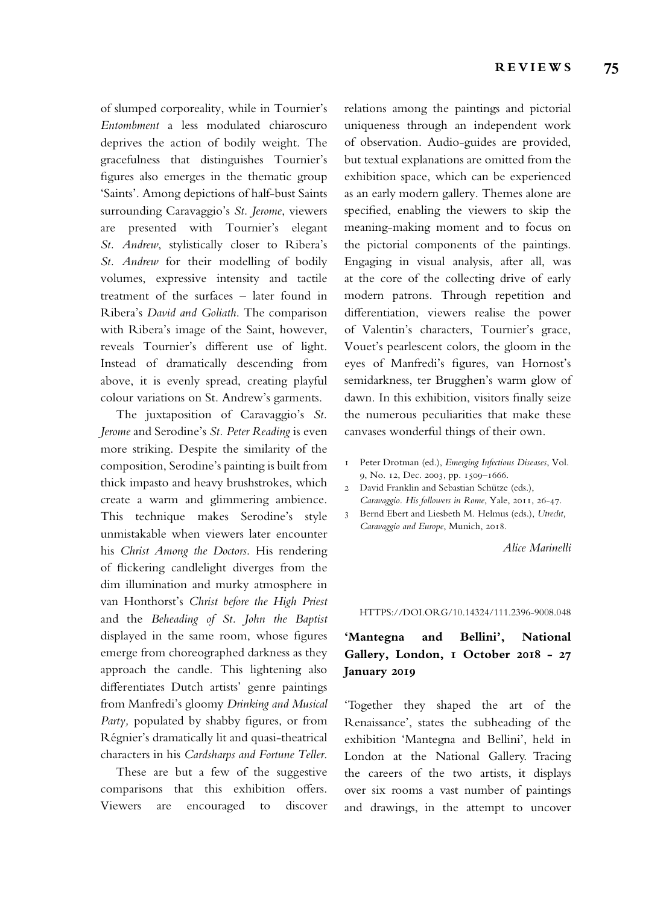of slumped corporeality, while in Tournier's *Entombment* a less modulated chiaroscuro deprives the action of bodily weight. The gracefulness that distinguishes Tournier's fgures also emerges in the thematic group 'Saints'. Among depictions of half-bust Saints surrounding Caravaggio's *St. Jerome*, viewers are presented with Tournier's elegant *St. Andrew*, stylistically closer to Ribera's *St. Andrew* for their modelling of bodily volumes, expressive intensity and tactile treatment of the surfaces – later found in Ribera's *David and Goliath*. The comparison with Ribera's image of the Saint, however, reveals Tournier's diferent use of light. Instead of dramatically descending from above, it is evenly spread, creating playful colour variations on St. Andrew's garments.

The juxtaposition of Caravaggio's *St. Jerome* and Serodine's *St. Peter Reading* is even more striking. Despite the similarity of the composition, Serodine's painting is built from thick impasto and heavy brushstrokes, which create a warm and glimmering ambience. This technique makes Serodine's style unmistakable when viewers later encounter his *Christ Among the Doctors*. His rendering of fickering candlelight diverges from the dim illumination and murky atmosphere in van Honthorst's *Christ before the High Priest* and the *Beheading of St. John the Baptist* displayed in the same room, whose fgures emerge from choreographed darkness as they approach the candle. This lightening also diferentiates Dutch artists' genre paintings from Manfredi's gloomy *Drinking and Musical*  Party, populated by shabby figures, or from Régnier's dramatically lit and quasi-theatrical characters in his *Cardsharps and Fortune Teller*.

These are but a few of the suggestive comparisons that this exhibition ofers. Viewers are encouraged to discover relations among the paintings and pictorial uniqueness through an independent work of observation. Audio-guides are provided, but textual explanations are omitted from the exhibition space, which can be experienced as an early modern gallery. Themes alone are specifed, enabling the viewers to skip the meaning-making moment and to focus on the pictorial components of the paintings. Engaging in visual analysis, after all, was at the core of the collecting drive of early modern patrons. Through repetition and diferentiation, viewers realise the power of Valentin's characters, Tournier's grace, Vouet's pearlescent colors, the gloom in the eyes of Manfredi's fgures, van Hornost's semidarkness, ter Brugghen's warm glow of dawn. In this exhibition, visitors fnally seize the numerous peculiarities that make these canvases wonderful things of their own.

- 1 Peter Drotman (ed.), *Emerging Infectious Diseases*, Vol. 9, No. 12, Dec. 2003, pp. 1509–1666.
- 2 David Franklin and Sebastian Schütze (eds.), *Caravaggio. His followers in Rome*, Yale, 2011, 26-47.
- 3 Bernd Ebert and Liesbeth M. Helmus (eds.), *Utrecht, Caravaggio and Europe*, Munich, 2018.

*Alice Marinelli*

HTTPS://DOI.ORG/10.14324/111.2396-9008.048

## **'Mantegna and Bellini', National Gallery, London, 1 October 2018 - 27 January 2019**

'Together they shaped the art of the Renaissance', states the subheading of the exhibition 'Mantegna and Bellini', held in London at the National Gallery. Tracing the careers of the two artists, it displays over six rooms a vast number of paintings and drawings, in the attempt to uncover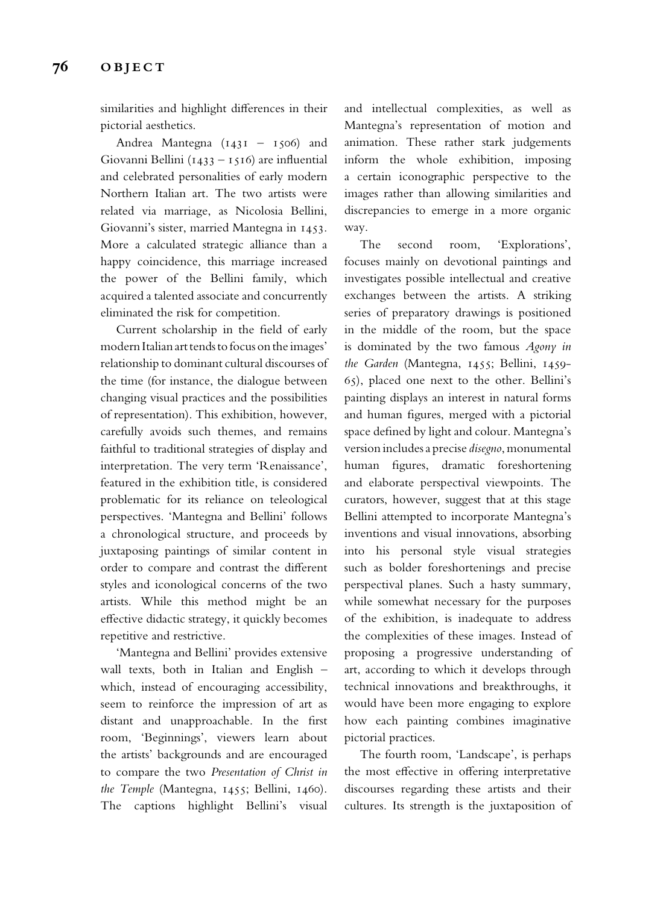similarities and highlight diferences in their pictorial aesthetics.

Andrea Mantegna (1431 – 1506) and Giovanni Bellini (1433 – 1516) are infuential and celebrated personalities of early modern Northern Italian art. The two artists were related via marriage, as Nicolosia Bellini, Giovanni's sister, married Mantegna in 1453. More a calculated strategic alliance than a happy coincidence, this marriage increased the power of the Bellini family, which acquired a talented associate and concurrently eliminated the risk for competition.

Current scholarship in the feld of early modern Italian art tends to focus on the images' relationship to dominant cultural discourses of the time (for instance, the dialogue between changing visual practices and the possibilities of representation). This exhibition, however, carefully avoids such themes, and remains faithful to traditional strategies of display and interpretation. The very term 'Renaissance', featured in the exhibition title, is considered problematic for its reliance on teleological perspectives. 'Mantegna and Bellini' follows a chronological structure, and proceeds by juxtaposing paintings of similar content in order to compare and contrast the diferent styles and iconological concerns of the two artists. While this method might be an efective didactic strategy, it quickly becomes repetitive and restrictive.

'Mantegna and Bellini' provides extensive wall texts, both in Italian and English – which, instead of encouraging accessibility, seem to reinforce the impression of art as distant and unapproachable. In the frst room, 'Beginnings', viewers learn about the artists' backgrounds and are encouraged to compare the two *Presentation of Christ in the Temple* (Mantegna, 1455; Bellini, 1460). The captions highlight Bellini's visual

and intellectual complexities, as well as Mantegna's representation of motion and animation. These rather stark judgements inform the whole exhibition, imposing a certain iconographic perspective to the images rather than allowing similarities and discrepancies to emerge in a more organic way.

The second room, 'Explorations', focuses mainly on devotional paintings and investigates possible intellectual and creative exchanges between the artists. A striking series of preparatory drawings is positioned in the middle of the room, but the space is dominated by the two famous *Agony in the Garden* (Mantegna, 1455; Bellini, 1459- 65), placed one next to the other. Bellini's painting displays an interest in natural forms and human fgures, merged with a pictorial space defned by light and colour. Mantegna's version includes a precise *disegno*, monumental human fgures, dramatic foreshortening and elaborate perspectival viewpoints. The curators, however, suggest that at this stage Bellini attempted to incorporate Mantegna's inventions and visual innovations, absorbing into his personal style visual strategies such as bolder foreshortenings and precise perspectival planes. Such a hasty summary, while somewhat necessary for the purposes of the exhibition, is inadequate to address the complexities of these images. Instead of proposing a progressive understanding of art, according to which it develops through technical innovations and breakthroughs, it would have been more engaging to explore how each painting combines imaginative pictorial practices.

The fourth room, 'Landscape', is perhaps the most efective in ofering interpretative discourses regarding these artists and their cultures. Its strength is the juxtaposition of